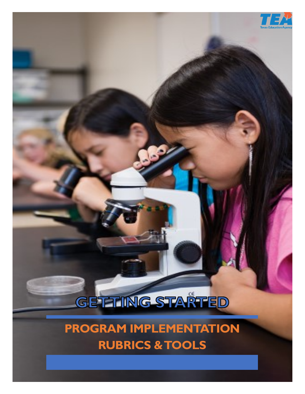# GETTING STARTED

İ

**PROGRAM IMPLEMENTATION RUBRICS & TOOLS**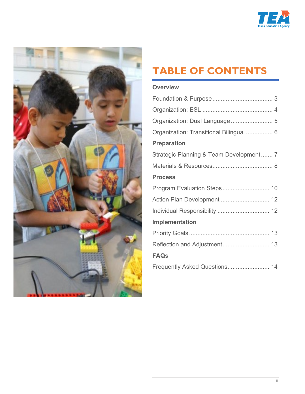



# <span id="page-1-1"></span><span id="page-1-0"></span>**TABLE OF CONTENTS**

### **[Overview](#page-2-0)**

| Organization: Transitional Bilingual  6 |
|-----------------------------------------|
| <b>Preparation</b>                      |
| Strategic Planning & Team Development 7 |
|                                         |
| <b>Process</b>                          |
| Program Evaluation Steps 10             |
| Action Plan Development  12             |
| Individual Responsibility  12           |
| Implementation                          |
|                                         |
|                                         |
| <b>FAQs</b>                             |
|                                         |
|                                         |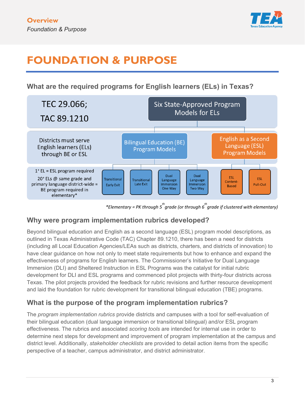

# <span id="page-2-0"></span>**FOUNDATION & PURPOSE**

**What are the required programs for English learners (ELs) in Texas?** 



*\*Elementary = PK through 5th grade (or through 6th grade if clustered with elementary)* 

### **Why were program implementation rubrics developed?**

Beyond bilingual education and English as a second language (ESL) program model descriptions, as outlined in Texas Administrative Code (TAC) Chapter 89.1210, there has been a need for districts (including all Local Education Agencies/LEAs such as districts, charters, and districts of innovation) to have clear guidance on how not only to meet state requirements but how to enhance and expand the effectiveness of programs for English learners. The Commissioner's Initiative for Dual Language Immersion (DLI) and Sheltered Instruction in ESL Programs was the catalyst for initial rubric development for DLI and ESL programs and commenced pilot projects with thirty-four districts across Texas. The pilot projects provided the feedback for rubric revisions and further resource development and laid the foundation for rubric development for transitional bilingual education (TBE) programs.

### **What is the purpose of the program implementation rubrics?**

The *program implementation rubrics* provide districts and campuses with a tool for self-evaluation of their bilingual education (dual language immersion or transitional bilingual) and/or ESL program effectiveness. The rubrics and associated *scoring tools* are intended for internal use in order to determine next steps for development and improvement of program implementation at the campus and district level. Additionally, *stakeholder checklists* are provided to detail action items from the specific perspective of a teacher, campus administrator, and district administrator.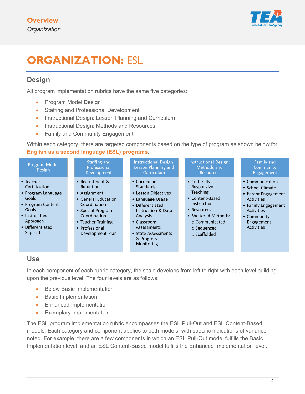

# <span id="page-3-0"></span>**ORGANIZATION:** ESL

### **Design**

All program implementation rubrics have the same five categories:

- Program Model Design
- Staffing and Professional Development
- Instructional Design: Lesson Planning and Curriculum
- Instructional Design: Methods and Resources
- Family and Community Engagement

Within each category, there are targeted components based on the type of program as shown below for **English as a second language (ESL) programs**.

| Program Model<br><b>Design</b>                                                                                                                        | Staffing and<br>Professional<br>Development                                                                                                                                          | <b>Instructional Design:</b><br>Lesson Planning and<br>Curriculum                                                                                                                                                             | <b>Instructional Design:</b><br>Methods and<br><b>Resources</b>                                                                                                                           | Family and<br>Community<br>Engagement                                                                                                                                         |
|-------------------------------------------------------------------------------------------------------------------------------------------------------|--------------------------------------------------------------------------------------------------------------------------------------------------------------------------------------|-------------------------------------------------------------------------------------------------------------------------------------------------------------------------------------------------------------------------------|-------------------------------------------------------------------------------------------------------------------------------------------------------------------------------------------|-------------------------------------------------------------------------------------------------------------------------------------------------------------------------------|
| • Teacher<br>Certification<br>• Program Language<br>Goals<br>• Program Content<br>Goals<br>• Instructional<br>Approach<br>• Differentiated<br>Support | • Recruitment &<br>Retention<br>• Assignment<br>• General Education<br>Coordination<br>• Special Program<br>Coordination<br>• Teacher Training<br>• Professional<br>Development Plan | • Curriculum<br><b>Standards</b><br>• Lesson Objectives<br>• Language Usage<br>• Differentiated<br><b>Instruction &amp; Data</b><br>Analysis<br>• Classroom<br>Assessments<br>• State Assessments<br>& Progress<br>Monitoring | • Culturally<br>Responsive<br><b>Teaching</b><br>• Content-Based<br>Instruction<br>• Resources<br>• Sheltered Methods:<br>$\circ$ Communicated<br>$\circ$ Sequenced<br>$\circ$ Scaffolded | • Communication<br>• School Climate<br>• Parent Engagement<br><b>Activities</b><br>• Family Engagement<br><b>Activities</b><br>• Community<br>Engagement<br><b>Activities</b> |

### **Use**

In each component of each rubric category, the scale develops from left to right with each level building upon the previous level. The four levels are as follows:

- Below Basic Implementation
- Basic Implementation
- Enhanced Implementation
- Exemplary Implementation

The ESL program implementation rubric encompasses the ESL Pull-Out and ESL Content-Based models. Each category and component applies to both models, with specific indications of variance noted. For example, there are a few components in which an ESL Pull-Out model fulfills the Basic Implementation level, and an ESL Content-Based model fulfills the Enhanced Implementation level.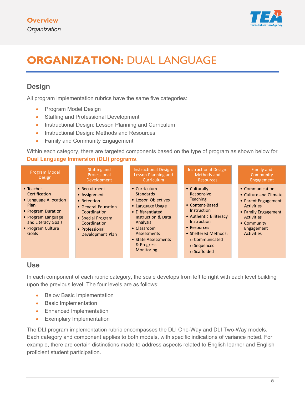

# <span id="page-4-0"></span>**ORGANIZATION: DUAL LANGUAGE**

### **Design**

All program implementation rubrics have the same five categories:

- Program Model Design
- Staffing and Professional Development
- Instructional Design: Lesson Planning and Curriculum
- Instructional Design: Methods and Resources
- Family and Community Engagement

Within each category, there are targeted components based on the type of program as shown below for **Dual Language Immersion (DLI) programs**.



### **Use**

In each component of each rubric category, the scale develops from left to right with each level building upon the previous level. The four levels are as follows:

- **Below Basic Implementation**
- Basic Implementation
- Enhanced Implementation
- Exemplary Implementation

The DLI program implementation rubric encompasses the DLI One-Way and DLI Two-Way models. Each category and component applies to both models, with specific indications of variance noted. For example, there are certain distinctions made to address aspects related to English learner and English proficient student participation.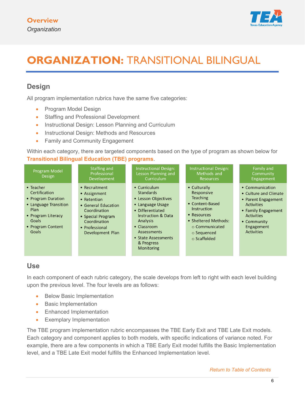

# <span id="page-5-0"></span>**ORGANIZATION: TRANSITIONAL BILINGUAL**

### **Design**

All program implementation rubrics have the same five categories:

- Program Model Design
- Staffing and Professional Development
- Instructional Design: Lesson Planning and Curriculum
- Instructional Design: Methods and Resources
- Family and Community Engagement

Within each category, there are targeted components based on the type of program as shown below for **Transitional Bilingual Education (TBE) programs**.

| <b>Program Model</b><br><b>Design</b>                                                                                                                  | <b>Staffing and</b><br>Professional<br>Development                                                                                                             | <b>Instructional Design:</b><br>Lesson Planning and<br>Curriculum                                                                                                                                                                            | <b>Instructional Design:</b><br>Methods and<br>Resources                                                                                                                                         | Family and<br>Community<br>Engagement                                                                                                                                       |
|--------------------------------------------------------------------------------------------------------------------------------------------------------|----------------------------------------------------------------------------------------------------------------------------------------------------------------|----------------------------------------------------------------------------------------------------------------------------------------------------------------------------------------------------------------------------------------------|--------------------------------------------------------------------------------------------------------------------------------------------------------------------------------------------------|-----------------------------------------------------------------------------------------------------------------------------------------------------------------------------|
| $\bullet$ Teacher<br>Certification<br>• Program Duration<br>• Language Transition<br>Plan<br>• Program Literacy<br>Goals<br>• Program Content<br>Goals | • Recruitment<br>• Assignment<br>• Retention<br>• General Education<br>Coordination<br>• Special Program<br>Coordination<br>• Professional<br>Development Plan | • Curriculum<br><b>Standards</b><br>• Lesson Objectives<br>• Language Usage<br>• Differentiated<br><b>Instruction &amp; Data</b><br>Analysis<br>$\bullet$ Classroom<br><b>Assessments</b><br>• State Assessments<br>& Progress<br>Monitoring | • Culturally<br>Responsive<br><b>Teaching</b><br>• Content-Based<br><b>Instruction</b><br>• Resources<br>• Sheltered Methods:<br>$\circ$ Communicated<br>$\circ$ Sequenced<br>$\circ$ Scaffolded | • Communication<br>• Culture and Climate<br>• Parent Engagement<br><b>Activities</b><br>• Family Engagement<br><b>Activities</b><br>• Community<br>Engagement<br>Activities |

### **Use**

In each component of each rubric category, the scale develops from left to right with each level building upon the previous level. The four levels are as follows:

- Below Basic Implementation
- Basic Implementation
- Enhanced Implementation
- Exemplary Implementation

The TBE program implementation rubric encompasses the TBE Early Exit and TBE Late Exit models. Each category and component applies to both models, with specific indications of variance noted. For example, there are a few components in which a TBE Early Exit model fulfills the Basic Implementation level, and a TBE Late Exit model fulfills the Enhanced Implementation level.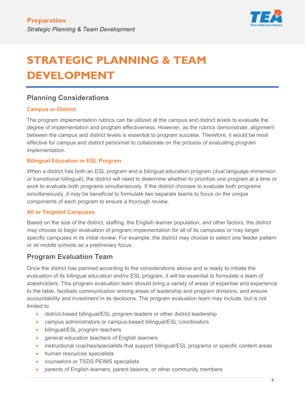

# <span id="page-6-0"></span>**STRATEGIC PLANNING & TEAM DEVELOPMENT**

### **Planning Considerations**

#### **Campus or District**

The program implementation rubrics can be utilized at the campus and district levels to evaluate the degree of implementation and program effectiveness. However, as the rubrics demonstrate, alignment between the campus and district levels is essential to program success. Therefore, it would be most effective for campus and district personnel to collaborate on the process of evaluating program implementation.

#### **Bilingual Education or ESL Program**

When a district has both an ESL program and a bilingual education program (dual language immersion or transitional bilingual), the district will need to determine whether to prioritize one program at a time or work to evaluate both programs simultaneously. If the district chooses to evaluate both programs simultaneously, it may be beneficial to formulate two separate teams to focus on the unique components of each program to ensure a thorough review.

#### **All or Targeted Campuses**

Based on the size of the district, staffing, the English learner population, and other factors, the district may choose to begin evaluation of program implementation for all of its campuses or may target specific campuses in its initial review. For example, the district may choose to select one feeder pattern or all middle schools as a preliminary focus.

### **Program Evaluation Team**

Once the district has planned according to the considerations above and is ready to initiate the evaluation of its bilingual education and/or ESL program, it will be essential to formulate a team of stakeholders. This program evaluation team should bring a variety of areas of expertise and experience to the table, facilitate communication among areas of leadership and program divisions, and ensure accountability and investment in its decisions. The program evaluation team may include, but is not limited to

- district-based bilingual/ESL program leaders or other district leadership
- campus administrators or campus-based bilingual/ESL coordinators
- bilingual/ESL program teachers
- general education teachers of English learners
- instructional coaches/specialists that support bilingual/ESL programs or specific content areas
- human resources specialists
- counselors or TSDS PEIMS specialists
- parents of English learners, parent liaisons, or other community members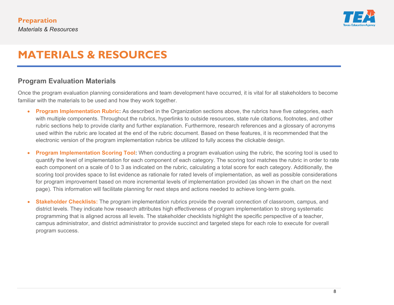

## **MATERIALS & RESOURCES**

### **Program Evaluation Materials**

Once the program evaluation planning considerations and team development have occurred, it is vital for all stakeholders to become familiar with the materials to be used and how they work together.

- **Program Implementation Rubric:** As described in the Organization sections above, the rubrics have five categories, each with multiple components. Throughout the rubrics, hyperlinks to outside resources, state rule citations, footnotes, and other rubric sections help to provide clarity and further explanation. Furthermore, research references and a glossary of acronyms used within the rubric are located at the end of the rubric document. Based on these features, it is recommended that the electronic version of the program implementation rubrics be utilized to fully access the clickable design.
- <span id="page-7-0"></span>• **Program Implementation Scoring Tool:** When conducting a program evaluation using the rubric, the scoring tool is used to quantify the level of implementation for each component of each category. The scoring tool matches the rubric in order to rate each component on a scale of 0 to 3 as indicated on the rubric, calculating a total score for each category. Additionally, the scoring tool provides space to list evidence as rationale for rated levels of implementation, as well as possible considerations for program improvement based on more incremental levels of implementation provided (as shown in the chart on the next page). This information will facilitate planning for next steps and actions needed to achieve long-term goals.
- **Stakeholder Checklists:** The program implementation rubrics provide the overall connection of classroom, campus, and district levels. They indicate how research attributes high effectiveness of program implementation to strong systematic programming that is aligned across all levels. The stakeholder checklists highlight the specific perspective of a teacher, campus administrator, and district administrator to provide succinct and targeted steps for each role to execute for overall program success.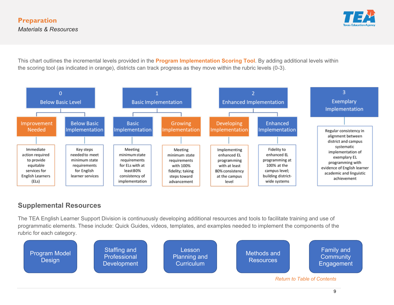

This chart outlines the incremental levels provided in the **Program Implementation Scoring Tool**. By adding additional levels within the scoring tool (as indicated in orange), districts can track progress as they move within the rubric levels (0-3).



### **Supplemental Resources**

The TEA English Learner Support Division is continuously developing additional resources and tools to facilitate training and use of programmatic elements. These include: Quick Guides, videos, templates, and examples needed to implement the components of the rubric for each category.

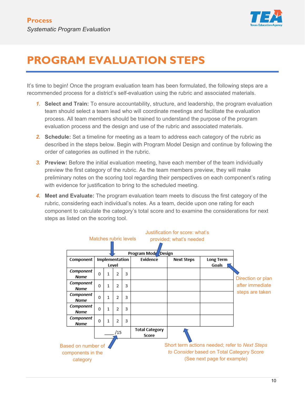

# <span id="page-9-0"></span>**PROGRAM EVALUATION STEPS**

It's time to begin! Once the program evaluation team has been formulated, the following steps are a recommended process for a district's self-evaluation using the rubric and associated materials.

- *1.* **Select and Train:** To ensure accountability, structure, and leadership, the program evaluation team should select a team lead who will coordinate meetings and facilitate the evaluation process. All team members should be trained to understand the purpose of the program evaluation process and the design and use of the rubric and associated materials.
- *2.* **Schedule:** Set a timeline for meeting as a team to address each category of the rubric as described in the steps below. Begin with Program Model Design and continue by following the order of categories as outlined in the rubric.
- *3.* **Preview:** Before the initial evaluation meeting, have each member of the team individually preview the first category of the rubric. As the team members preview, they will make preliminary notes on the scoring tool regarding their perspectives on each component's rating with evidence for justification to bring to the scheduled meeting.
- *4.* **Meet and Evaluate:** The program evaluation team meets to discuss the first category of the rubric, considering each individual's notes. As a team, decide upon one rating for each component to calculate the category's total score and to examine the considerations for next steps as listed on the scoring tool.

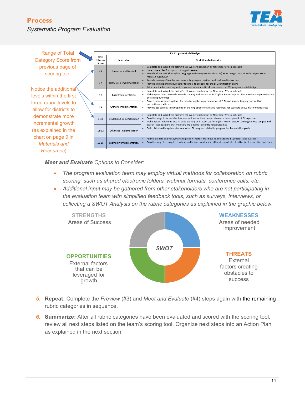#### **Process** *Systematic Program Evaluation*



| <b>Range of Total</b>                                                                                                                                                                                                                                    |                            |                             |                                                                                                                                                                                                                                                                                                                                                                                                                            | <b>ESL Program Model Design</b> |  |  |
|----------------------------------------------------------------------------------------------------------------------------------------------------------------------------------------------------------------------------------------------------------|----------------------------|-----------------------------|----------------------------------------------------------------------------------------------------------------------------------------------------------------------------------------------------------------------------------------------------------------------------------------------------------------------------------------------------------------------------------------------------------------------------|---------------------------------|--|--|
| <b>Category Score from</b>                                                                                                                                                                                                                               | Total<br>Category<br>Score | <b>Description</b>          | <b>Next Steps to Consider</b>                                                                                                                                                                                                                                                                                                                                                                                              |                                 |  |  |
| previous page of<br>scoring tool<br>Notice the additional<br>levels within the first<br>three rubric levels to<br>allow for districts to<br>demonstrate more<br>incremental growth<br>(as explained in the<br>chart on page 9 in<br><b>Materials</b> and | $0 - 2$                    | <b>Improvement Needed</b>   | Complete and submit the district's ESL Waiver application by November 1st as applicable<br>$\bullet$<br>Determine a plan for support of English learners<br>Provide all ELs with the English Language Proficiency Standards (ELPS) as an integral part of each subject area's<br>required curriculum                                                                                                                       |                                 |  |  |
|                                                                                                                                                                                                                                                          | $3 - 4$                    | Below Basic Implementation  | Provide training of teachers on second language acquisition and sheltered instruction<br>$\bullet$<br>Provide training and resources for teachers to prepare for the ESL certification exam<br>Set a timeline for meeting basic implementation level in all components of ESL program model design                                                                                                                         |                                 |  |  |
|                                                                                                                                                                                                                                                          | $5 - 6$                    | <b>Basic Implementation</b> | Complete and submit the district's ESL Waiver application by November 1st as applicable<br>Make a plan to increase school-wide training and resources for English learner support that monitors implementation<br>of training outcomes                                                                                                                                                                                     |                                 |  |  |
|                                                                                                                                                                                                                                                          | $7 - 8$                    | Growing Implementation      | Create campus-based systems for monitoring the implementation of ELPS and second language acquisition<br>instructional methods<br>Provide ESL certification preparation training opportunities and resources for teachers of ELs in all content areas<br>٠                                                                                                                                                                 |                                 |  |  |
|                                                                                                                                                                                                                                                          | $9 - 10$                   | Developing Implementation   | Complete and submit the district's ESL Waiver application by November 1st as applicable<br>$\bullet$<br>Consider ways to incentivize teachers and instructional leaders towards development of EL expertise<br>Make a plan to develop district-wide training and resources for English learner support among various campus and<br>$\bullet$<br>district level positions that monitors implementation of training outcomes |                                 |  |  |
|                                                                                                                                                                                                                                                          | $11 - 12$                  | Enhanced Implementation     | Build district-wide systems for analysis of EL progress related to program implementation goals                                                                                                                                                                                                                                                                                                                            |                                 |  |  |
|                                                                                                                                                                                                                                                          | $13 - 15$                  | Exemplary Implementation    | Formulate data analysis systems to pinpoint factors that have contributed to EL progress and success<br>$\bullet$<br>Consider ways to recognize teachers and instructional leaders that demonstrate effective implementation practices                                                                                                                                                                                     |                                 |  |  |
| Resources)                                                                                                                                                                                                                                               |                            |                             |                                                                                                                                                                                                                                                                                                                                                                                                                            |                                 |  |  |

*Meet and Evaluate Options to Consider:*

- *The program evaluation team may employ virtual methods for collaboration on rubric scoring, such as shared electronic folders, webinar formats, conference calls, etc.*
- *Additional input may be gathered from other stakeholders who are not participating in the evaluation team with simplified feedback tools, such as surveys, interviews, or collecting a SWOT Analysis on the rubric categories as explained in the graphic below.*



- *5.* **Repeat:** Complete the *Preview* (#3) and *Meet and Evaluate* (#4) steps again with the remaining rubric categories in sequence.
- *6.* **Summarize:** After all rubric categories have been evaluated and scored with the scoring tool, review all next steps listed on the team's scoring tool. Organize next steps into an Action Plan as explained in the next section.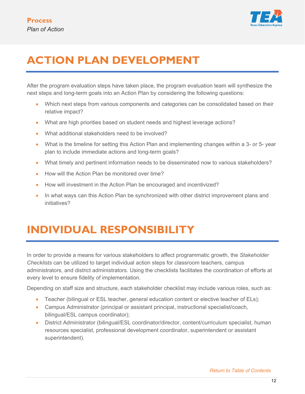

# <span id="page-11-0"></span>**ACTION PLAN DEVELOPMENT**

After the program evaluation steps have taken place, the program evaluation team will synthesize the next steps and long-term goals into an Action Plan by considering the following questions:

- Which next steps from various components and categories can be consolidated based on their relative impact?
- What are high priorities based on student needs and highest leverage actions?
- What additional stakeholders need to be involved?
- What is the timeline for setting this Action Plan and implementing changes within a 3- or 5- year plan to include immediate actions and long-term goals?
- What timely and pertinent information needs to be disseminated now to various stakeholders?
- How will the Action Plan be monitored over time?
- How will investment in the Action Plan be encouraged and incentivized?
- In what ways can this Action Plan be synchronized with other district improvement plans and initiatives?

# <span id="page-11-1"></span>**INDIVIDUAL RESPONSIBILITY**

In order to provide a means for various stakeholders to affect programmatic growth, the *Stakeholder Checklists* can be utilized to target individual action steps for classroom teachers, campus administrators, and district administrators. Using the checklists facilitates the coordination of efforts at every level to ensure fidelity of implementation.

Depending on staff size and structure, each stakeholder checklist may include various roles, such as:

- Teacher (bilingual or ESL teacher, general education content or elective teacher of ELs);
- Campus Administrator (principal or assistant principal, instructional specialist/coach, bilingual/ESL campus coordinator);
- District Administrator (bilingual/ESL coordinator/director, content/curriculum specialist, human resources specialist, professional development coordinator, superintendent or assistant superintendent).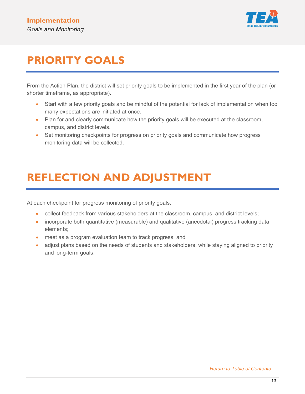

# <span id="page-12-0"></span>**PRIORITY GOALS**

From the Action Plan, the district will set priority goals to be implemented in the first year of the plan (or shorter timeframe, as appropriate).

- Start with a few priority goals and be mindful of the potential for lack of implementation when too many expectations are initiated at once.
- Plan for and clearly communicate how the priority goals will be executed at the classroom, campus, and district levels.
- Set monitoring checkpoints for progress on priority goals and communicate how progress monitoring data will be collected.

# <span id="page-12-1"></span>**REFLECTION AND ADJUSTMENT**

At each checkpoint for progress monitoring of priority goals,

- collect feedback from various stakeholders at the classroom, campus, and district levels;
- incorporate both quantitative (measurable) and qualitative (anecdotal) progress tracking data elements;
- meet as a program evaluation team to track progress; and
- adjust plans based on the needs of students and stakeholders, while staying aligned to priority and long-term goals.